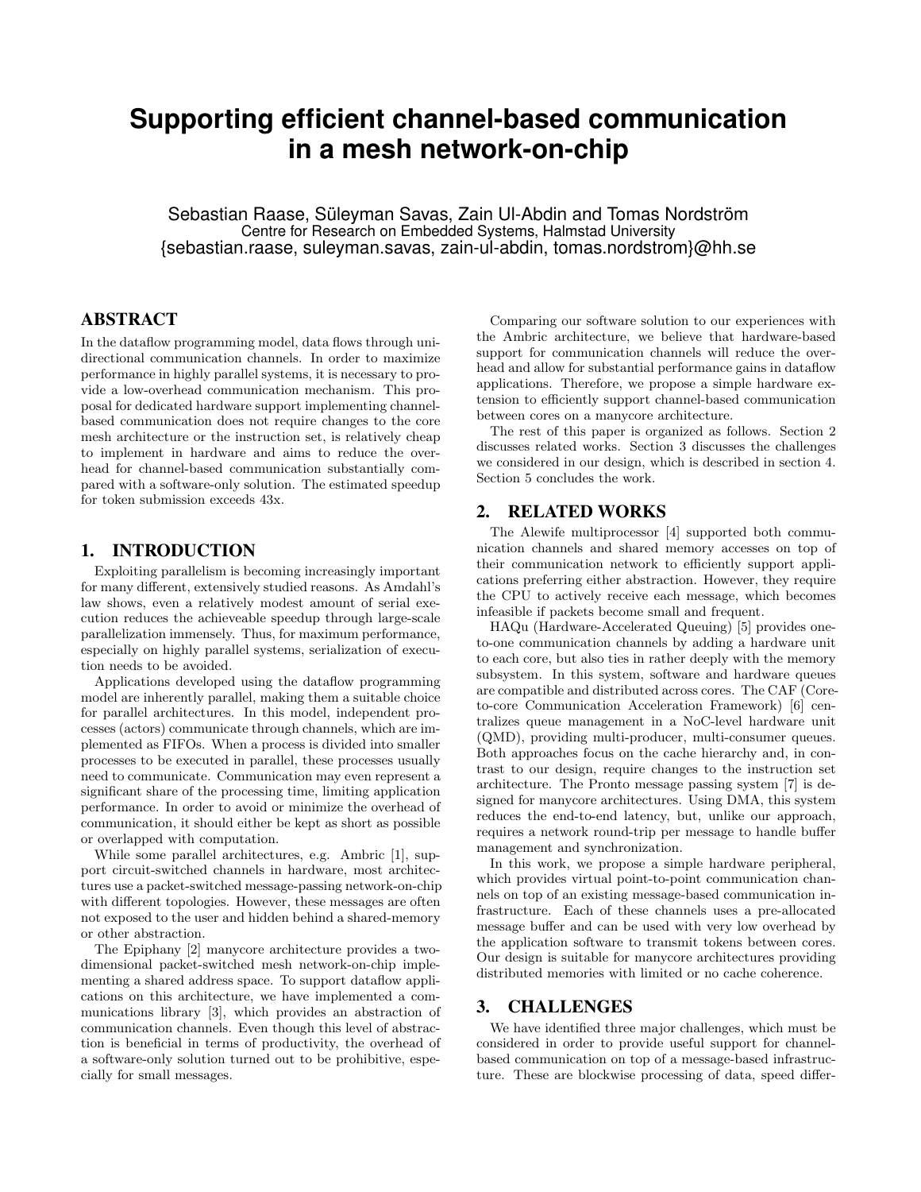# **Supporting efficient channel-based communication in a mesh network-on-chip**

Sebastian Raase, Süleyman Savas, Zain Ul-Abdin and Tomas Nordström Centre for Research on Embedded Systems, Halmstad University {sebastian.raase, suleyman.savas, zain-ul-abdin, tomas.nordstrom}@hh.se

## ABSTRACT

In the dataflow programming model, data flows through unidirectional communication channels. In order to maximize performance in highly parallel systems, it is necessary to provide a low-overhead communication mechanism. This proposal for dedicated hardware support implementing channelbased communication does not require changes to the core mesh architecture or the instruction set, is relatively cheap to implement in hardware and aims to reduce the overhead for channel-based communication substantially compared with a software-only solution. The estimated speedup for token submission exceeds 43x.

#### 1. INTRODUCTION

Exploiting parallelism is becoming increasingly important for many different, extensively studied reasons. As Amdahl's law shows, even a relatively modest amount of serial execution reduces the achieveable speedup through large-scale parallelization immensely. Thus, for maximum performance, especially on highly parallel systems, serialization of execution needs to be avoided.

Applications developed using the dataflow programming model are inherently parallel, making them a suitable choice for parallel architectures. In this model, independent processes (actors) communicate through channels, which are implemented as FIFOs. When a process is divided into smaller processes to be executed in parallel, these processes usually need to communicate. Communication may even represent a significant share of the processing time, limiting application performance. In order to avoid or minimize the overhead of communication, it should either be kept as short as possible or overlapped with computation.

While some parallel architectures, e.g. Ambric [1], support circuit-switched channels in hardware, most architectures use a packet-switched message-passing network-on-chip with different topologies. However, these messages are often not exposed to the user and hidden behind a shared-memory or other abstraction.

The Epiphany [2] manycore architecture provides a twodimensional packet-switched mesh network-on-chip implementing a shared address space. To support dataflow applications on this architecture, we have implemented a communications library [3], which provides an abstraction of communication channels. Even though this level of abstraction is beneficial in terms of productivity, the overhead of a software-only solution turned out to be prohibitive, especially for small messages.

Comparing our software solution to our experiences with the Ambric architecture, we believe that hardware-based support for communication channels will reduce the overhead and allow for substantial performance gains in dataflow applications. Therefore, we propose a simple hardware extension to efficiently support channel-based communication between cores on a manycore architecture.

The rest of this paper is organized as follows. Section 2 discusses related works. Section 3 discusses the challenges we considered in our design, which is described in section 4. Section 5 concludes the work.

#### 2. RELATED WORKS

The Alewife multiprocessor [4] supported both communication channels and shared memory accesses on top of their communication network to efficiently support applications preferring either abstraction. However, they require the CPU to actively receive each message, which becomes infeasible if packets become small and frequent.

HAQu (Hardware-Accelerated Queuing) [5] provides oneto-one communication channels by adding a hardware unit to each core, but also ties in rather deeply with the memory subsystem. In this system, software and hardware queues are compatible and distributed across cores. The CAF (Coreto-core Communication Acceleration Framework) [6] centralizes queue management in a NoC-level hardware unit (QMD), providing multi-producer, multi-consumer queues. Both approaches focus on the cache hierarchy and, in contrast to our design, require changes to the instruction set architecture. The Pronto message passing system [7] is designed for manycore architectures. Using DMA, this system reduces the end-to-end latency, but, unlike our approach, requires a network round-trip per message to handle buffer management and synchronization.

In this work, we propose a simple hardware peripheral, which provides virtual point-to-point communication channels on top of an existing message-based communication infrastructure. Each of these channels uses a pre-allocated message buffer and can be used with very low overhead by the application software to transmit tokens between cores. Our design is suitable for manycore architectures providing distributed memories with limited or no cache coherence.

### 3. CHALLENGES

We have identified three major challenges, which must be considered in order to provide useful support for channelbased communication on top of a message-based infrastructure. These are blockwise processing of data, speed differ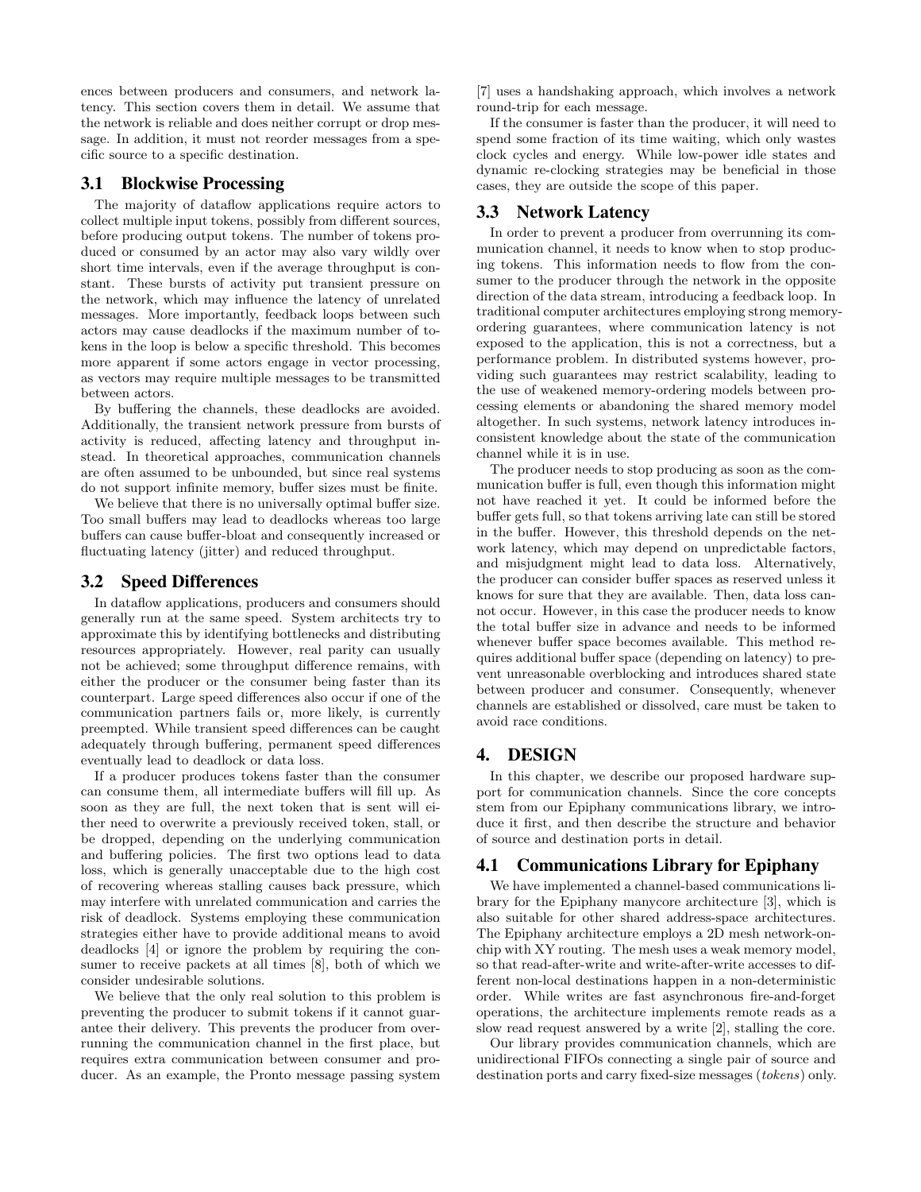ences between producers and consumers, and network latency. This section covers them in detail. We assume that the network is reliable and does neither corrupt or drop message. In addition, it must not reorder messages from a specific source to a specific destination.

#### 3.1 Blockwise Processing

The majority of dataflow applications require actors to collect multiple input tokens, possibly from different sources, before producing output tokens. The number of tokens produced or consumed by an actor may also vary wildly over short time intervals, even if the average throughput is constant. These bursts of activity put transient pressure on the network, which may influence the latency of unrelated messages. More importantly, feedback loops between such actors may cause deadlocks if the maximum number of tokens in the loop is below a specific threshold. This becomes more apparent if some actors engage in vector processing, as vectors may require multiple messages to be transmitted between actors.

By buffering the channels, these deadlocks are avoided. Additionally, the transient network pressure from bursts of activity is reduced, affecting latency and throughput instead. In theoretical approaches, communication channels are often assumed to be unbounded, but since real systems do not support infinite memory, buffer sizes must be finite.

We believe that there is no universally optimal buffer size. Too small buffers may lead to deadlocks whereas too large buffers can cause buffer-bloat and consequently increased or fluctuating latency (jitter) and reduced throughput.

#### 3.2 Speed Differences

In dataflow applications, producers and consumers should generally run at the same speed. System architects try to approximate this by identifying bottlenecks and distributing resources appropriately. However, real parity can usually not be achieved; some throughput difference remains, with either the producer or the consumer being faster than its counterpart. Large speed differences also occur if one of the communication partners fails or, more likely, is currently preempted. While transient speed differences can be caught adequately through buffering, permanent speed differences eventually lead to deadlock or data loss.

If a producer produces tokens faster than the consumer can consume them, all intermediate buffers will fill up. As soon as they are full, the next token that is sent will either need to overwrite a previously received token, stall, or be dropped, depending on the underlying communication and buffering policies. The first two options lead to data loss, which is generally unacceptable due to the high cost of recovering whereas stalling causes back pressure, which may interfere with unrelated communication and carries the risk of deadlock. Systems employing these communication strategies either have to provide additional means to avoid deadlocks [4] or ignore the problem by requiring the consumer to receive packets at all times [8], both of which we consider undesirable solutions.

We believe that the only real solution to this problem is preventing the producer to submit tokens if it cannot guarantee their delivery. This prevents the producer from overrunning the communication channel in the first place, but requires extra communication between consumer and producer. As an example, the Pronto message passing system [7] uses a handshaking approach, which involves a network round-trip for each message.

If the consumer is faster than the producer, it will need to spend some fraction of its time waiting, which only wastes clock cycles and energy. While low-power idle states and dynamic re-clocking strategies may be beneficial in those cases, they are outside the scope of this paper.

#### 3.3 Network Latency

In order to prevent a producer from overrunning its communication channel, it needs to know when to stop producing tokens. This information needs to flow from the consumer to the producer through the network in the opposite direction of the data stream, introducing a feedback loop. In traditional computer architectures employing strong memoryordering guarantees, where communication latency is not exposed to the application, this is not a correctness, but a performance problem. In distributed systems however, providing such guarantees may restrict scalability, leading to the use of weakened memory-ordering models between processing elements or abandoning the shared memory model altogether. In such systems, network latency introduces inconsistent knowledge about the state of the communication channel while it is in use.

The producer needs to stop producing as soon as the communication buffer is full, even though this information might not have reached it yet. It could be informed before the buffer gets full, so that tokens arriving late can still be stored in the buffer. However, this threshold depends on the network latency, which may depend on unpredictable factors, and misjudgment might lead to data loss. Alternatively, the producer can consider buffer spaces as reserved unless it knows for sure that they are available. Then, data loss cannot occur. However, in this case the producer needs to know the total buffer size in advance and needs to be informed whenever buffer space becomes available. This method requires additional buffer space (depending on latency) to prevent unreasonable overblocking and introduces shared state between producer and consumer. Consequently, whenever channels are established or dissolved, care must be taken to avoid race conditions.

#### 4. DESIGN

In this chapter, we describe our proposed hardware support for communication channels. Since the core concepts stem from our Epiphany communications library, we introduce it first, and then describe the structure and behavior of source and destination ports in detail.

#### 4.1 Communications Library for Epiphany

We have implemented a channel-based communications library for the Epiphany manycore architecture [3], which is also suitable for other shared address-space architectures. The Epiphany architecture employs a 2D mesh network-onchip with XY routing. The mesh uses a weak memory model, so that read-after-write and write-after-write accesses to different non-local destinations happen in a non-deterministic order. While writes are fast asynchronous fire-and-forget operations, the architecture implements remote reads as a slow read request answered by a write [2], stalling the core.

Our library provides communication channels, which are unidirectional FIFOs connecting a single pair of source and destination ports and carry fixed-size messages (tokens) only.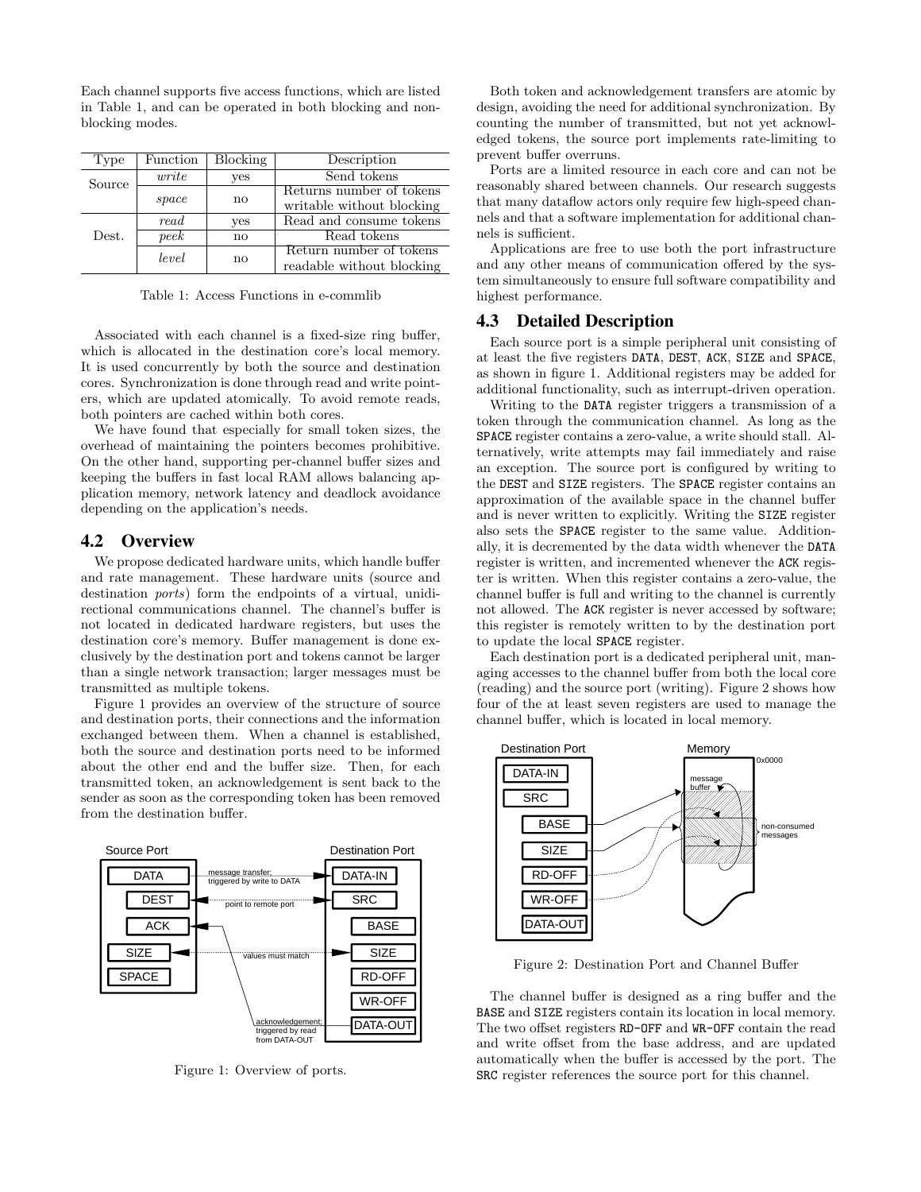Each channel supports five access functions, which are listed in Table 1, and can be operated in both blocking and nonblocking modes.

| Type   | Function | <b>Blocking</b> | Description               |  |
|--------|----------|-----------------|---------------------------|--|
| Source | write    | yes             | Send tokens               |  |
|        |          |                 | Returns number of tokens  |  |
|        | space    | $\mathbf{n}$    | writable without blocking |  |
| Dest.  | read     | yes             | Read and consume tokens   |  |
|        | peek     | no              | Read tokens               |  |
|        | level    | no              | Return number of tokens   |  |
|        |          |                 | readable without blocking |  |

Table 1: Access Functions in e-commlib

Associated with each channel is a fixed-size ring buffer, which is allocated in the destination core's local memory. It is used concurrently by both the source and destination cores. Synchronization is done through read and write pointers, which are updated atomically. To avoid remote reads, both pointers are cached within both cores.

We have found that especially for small token sizes, the overhead of maintaining the pointers becomes prohibitive. On the other hand, supporting per-channel buffer sizes and keeping the buffers in fast local RAM allows balancing application memory, network latency and deadlock avoidance depending on the application's needs.

#### 4.2 Overview

We propose dedicated hardware units, which handle buffer and rate management. These hardware units (source and destination ports) form the endpoints of a virtual, unidirectional communications channel. The channel's buffer is not located in dedicated hardware registers, but uses the destination core's memory. Buffer management is done exclusively by the destination port and tokens cannot be larger than a single network transaction; larger messages must be transmitted as multiple tokens.

Figure 1 provides an overview of the structure of source and destination ports, their connections and the information exchanged between them. When a channel is established, both the source and destination ports need to be informed about the other end and the buffer size. Then, for each transmitted token, an acknowledgement is sent back to the sender as soon as the corresponding token has been removed from the destination buffer.



Figure 1: Overview of ports.

Both token and acknowledgement transfers are atomic by design, avoiding the need for additional synchronization. By counting the number of transmitted, but not yet acknowledged tokens, the source port implements rate-limiting to prevent buffer overruns.

Ports are a limited resource in each core and can not be reasonably shared between channels. Our research suggests that many dataflow actors only require few high-speed channels and that a software implementation for additional channels is sufficient.

Applications are free to use both the port infrastructure and any other means of communication offered by the system simultaneously to ensure full software compatibility and highest performance.

#### 4.3 Detailed Description

Each source port is a simple peripheral unit consisting of at least the five registers DATA, DEST, ACK, SIZE and SPACE, as shown in figure 1. Additional registers may be added for additional functionality, such as interrupt-driven operation.

Writing to the DATA register triggers a transmission of a token through the communication channel. As long as the SPACE register contains a zero-value, a write should stall. Alternatively, write attempts may fail immediately and raise an exception. The source port is configured by writing to the DEST and SIZE registers. The SPACE register contains an approximation of the available space in the channel buffer and is never written to explicitly. Writing the SIZE register also sets the SPACE register to the same value. Additionally, it is decremented by the data width whenever the DATA register is written, and incremented whenever the ACK register is written. When this register contains a zero-value, the channel buffer is full and writing to the channel is currently not allowed. The ACK register is never accessed by software; this register is remotely written to by the destination port to update the local SPACE register.

Each destination port is a dedicated peripheral unit, managing accesses to the channel buffer from both the local core (reading) and the source port (writing). Figure 2 shows how four of the at least seven registers are used to manage the channel buffer, which is located in local memory.



Figure 2: Destination Port and Channel Buffer

The channel buffer is designed as a ring buffer and the BASE and SIZE registers contain its location in local memory. The two offset registers RD-OFF and WR-OFF contain the read and write offset from the base address, and are updated automatically when the buffer is accessed by the port. The SRC register references the source port for this channel.